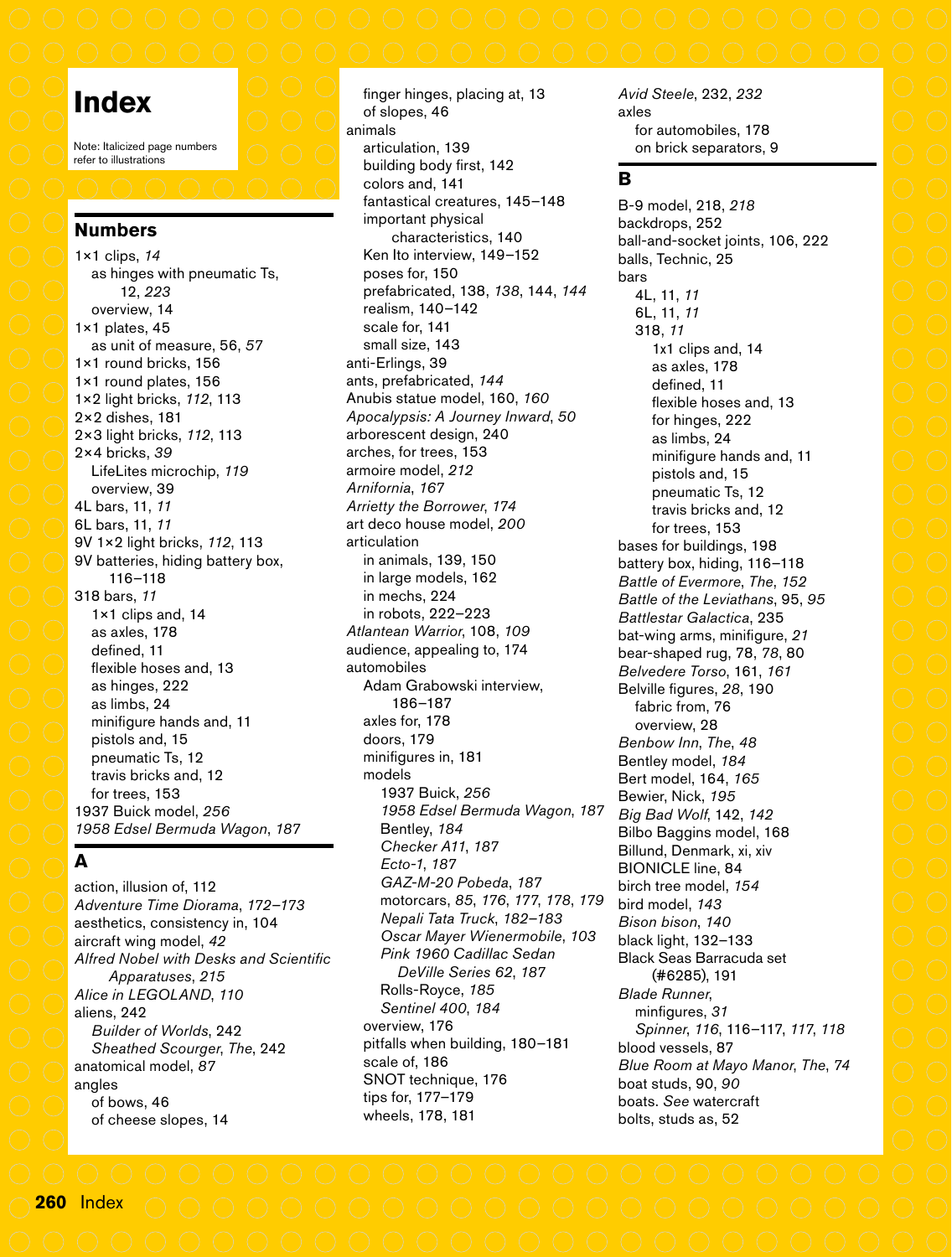# **Index**

Note: Italicized page numbers refer to illustrations

### **Numbers**

1×1 clips, *14* as hinges with pneumatic Ts, 12, *223* overview, 14 1×1 plates, 45 as unit of measure, 56, *57* 1×1 round bricks, 156 1×1 round plates, 156 1×2 light bricks, *112*, 113 2×2 dishes, 181 2×3 light bricks, *112*, 113 2×4 bricks, *39* LifeLites microchip, *119* overview, 39 4L bars, 11, *11* 6L bars, 11, *11* 9V 1×2 light bricks, *112*, 113 9V batteries, hiding battery box, 116–118 318 bars, *11* 1×1 clips and, 14 as axles, 178 defined, 11 flexible hoses and, 13 as hinges, 222 as limbs, 24 minifigure hands and, 11 pistols and, 15 pneumatic Ts, 12 travis bricks and, 12 for trees, 153 1937 Buick model, *256 1958 Edsel Bermuda Wagon*, *187*

### **A**

action, illusion of, 112 *Adventure Time Diorama*, *172–173* aesthetics, consistency in, 104 aircraft wing model, *42 Alfred Nobel with Desks and Scientific Apparatuses*, *215 Alice in LEGOLAND*, *110* aliens, 242 *Builder of Worlds*, 242 *Sheathed Scourger*, *The*, 242 anatomical model, *87* angles of bows, 46 of cheese slopes, 14

finger hinges, placing at, 13 of slopes, 46 animals articulation, 139 building body first, 142 colors and, 141 fantastical creatures, 145–148 important physical characteristics, 140 Ken Ito interview, 149–152 poses for, 150 prefabricated, 138, *138*, 144, *144* realism, 140–142 scale for, 141 small size, 143 anti-Erlings, 39 ants, prefabricated, *144* Anubis statue model, 160, *160 Apocalypsis: A Journey Inward*, *50* arborescent design, 240 arches, for trees, 153 armoire model, *212 Arnifornia*, *167 Arrietty the Borrower*, *174* art deco house model, *200* articulation in animals, 139, 150 in large models, 162 in mechs, 224 in robots, 222–223 *Atlantean Warrior*, 108, *109* audience, appealing to, 174 automobiles Adam Grabowski interview, 186–187 axles for, 178 doors, 179 minifigures in, 181 models 1937 Buick, *256 1958 Edsel Bermuda Wagon*, *187* Bentley, *184 Checker A11*, *187 Ecto-1*, *187 GAZ-M-20 Pobeda*, *187* motorcars, *85*, *176*, *177*, *178*, *179 Nepali Tata Truck*, *182–183 Oscar Mayer Wienermobile*, *103 Pink 1960 Cadillac Sedan DeVille Series 62*, *187* Rolls-Royce, *185 Sentinel 400*, *184* overview, 176 pitfalls when building, 180–181 scale of, 186 SNOT technique, 176 tips for, 177–179 wheels, 178, 181

*Avid Steele*, 232, *232* axles for automobiles, 178 on brick separators, 9

# **B**

B-9 model, 218, *218* backdrops, 252 ball-and-socket joints, 106, 222 balls, Technic, 25 bars 4L, 11, *11* 6L, 11, *11* 318, *11* 1x1 clips and, 14 as axles, 178 defined, 11 flexible hoses and, 13 for hinges, 222 as limbs, 24 minifigure hands and, 11 pistols and, 15 pneumatic Ts, 12 travis bricks and, 12 for trees, 153 bases for buildings, 198 battery box, hiding, 116–118 *Battle of Evermore*, *The*, *152 Battle of the Leviathans*, 95, *95 Battlestar Galactica*, 235 bat-wing arms, minifigure, *21* bear-shaped rug, 78, *78*, 80 *Belvedere Torso*, 161, *161* Belville figures, *28*, 190 fabric from, 76 overview, 28 *Benbow Inn*, *The*, *48* Bentley model, *184* Bert model, 164, *165* Bewier, Nick, *195 Big Bad Wolf*, 142, *142* Bilbo Baggins model, 168 Billund, Denmark, xi, xiv BIONICLE line, 84 birch tree model, *154* bird model, *143 Bison bison*, *140* black light, 132–133 Black Seas Barracuda set (#6285), 191 *Blade Runner*, minfigures, *31 Spinner*, *116*, 116–117, *117*, *118* blood vessels, 87 *Blue Room at Mayo Manor*, *The*, *74* boat studs, 90, *90* boats. *See* watercraft bolts, studs as, 52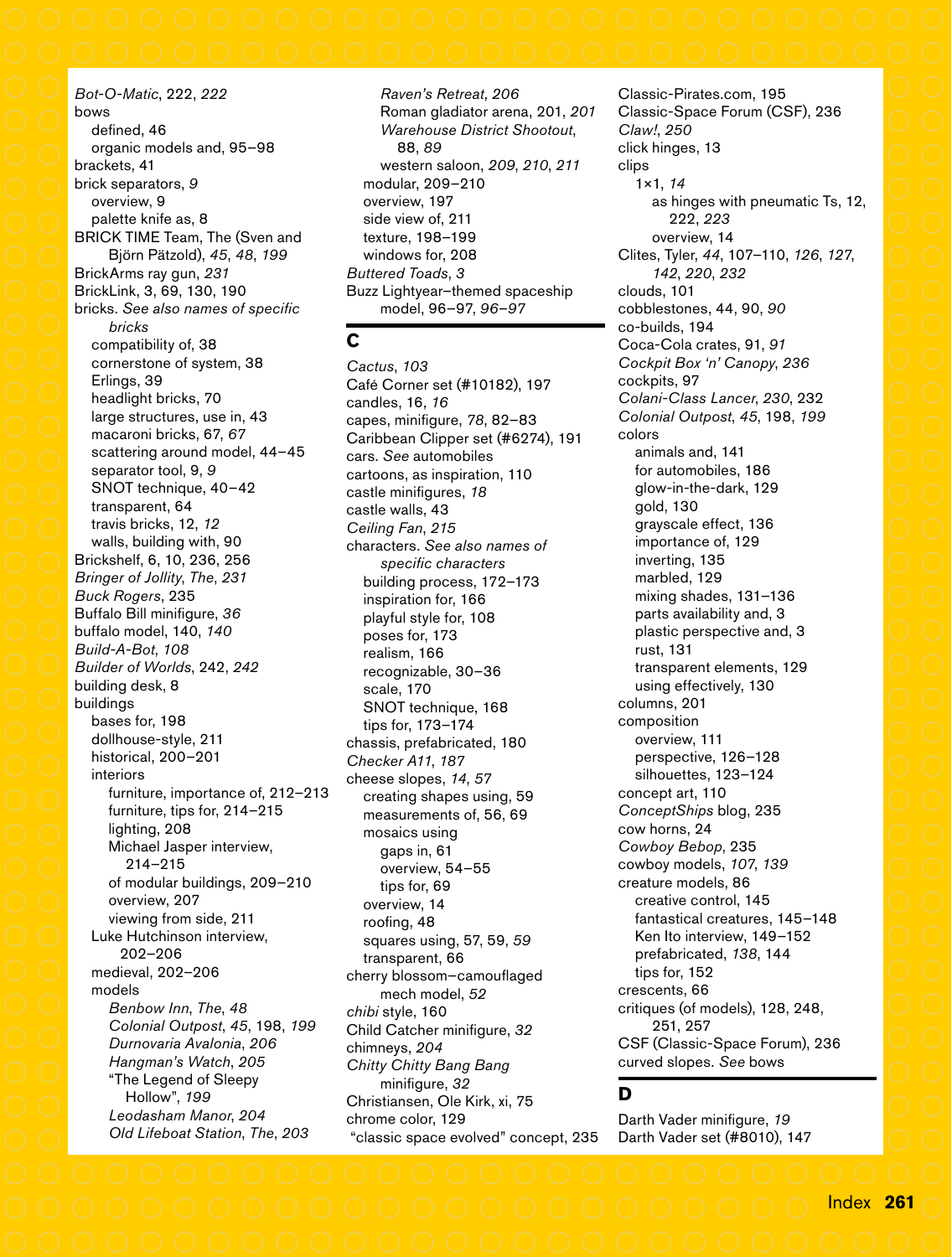*Bot-O-Matic*, 222, *222* bows defined, 46 organic models and, 95–98 brackets, 41 brick separators, *9* overview, 9 palette knife as, 8 BRICK TIME Team, The (Sven and Björn Pätzold), *45*, *48*, *199* BrickArms ray gun, *231* BrickLink, 3, 69, 130, 190 bricks. *See also names of specific bricks* compatibility of, 38 cornerstone of system, 38 Erlings, 39 headlight bricks, 70 large structures, use in, 43 macaroni bricks, 67, *67* scattering around model, 44–45 separator tool, 9, *9* SNOT technique, 40–42 transparent, 64 travis bricks, 12, *12* walls, building with, 90 Brickshelf, 6, 10, 236, 256 *Bringer of Jollity*, *The*, *231 Buck Rogers*, 235 Buffalo Bill minifigure, *36* buffalo model, 140, *140 Build-A-Bot*, *108 Builder of Worlds*, 242, *242* building desk, 8 buildings bases for, 198 dollhouse-style, 211 historical, 200–201 interiors furniture, importance of, 212–213 furniture, tips for, 214–215 lighting, 208 Michael Jasper interview, 214–215 of modular buildings, 209–210 overview, 207 viewing from side, 211 Luke Hutchinson interview, 202–206 medieval, 202–206 models *Benbow Inn*, *The*, *48 Colonial Outpost*, *45*, 198, *199 Durnovaria Avalonia*, *206 Hangman's Watch*, *205* "The Legend of Sleepy Hollow", *199 Leodasham Manor*, *204 Old Lifeboat Station*, *The*, *203*

*Raven's Retreat*, *206* Roman gladiator arena, 201, *201 Warehouse District Shootout*, 88, *89* western saloon, *209*, *210*, *211* modular, 209–210 overview, 197 side view of, 211 texture, 198–199 windows for, 208 *Buttered Toads*, *3* Buzz Lightyear–themed spaceship model, 96–97, *96–97*

### **C**

*Cactus*, *103* Café Corner set (#10182), 197 candles, 16, *16* capes, minifigure, *78*, 82–83 Caribbean Clipper set (#6274), 191 cars. *See* automobiles cartoons, as inspiration, 110 castle minifigures, *18* castle walls, 43 *Ceiling Fan*, *215* characters. *See also names of specific characters* building process, 172–173 inspiration for, 166 playful style for, 108 poses for, 173 realism, 166 recognizable, 30–36 scale, 170 SNOT technique, 168 tips for, 173–174 chassis, prefabricated, 180 *Checker A11*, *187* cheese slopes, *14*, *57* creating shapes using, 59 measurements of, 56, 69 mosaics using gaps in, 61 overview, 54–55 tips for, 69 overview, 14 roofing, 48 squares using, 57, 59, *59* transparent, 66 cherry blossom–camouflaged mech model, *52 chibi* style, 160 Child Catcher minifigure, *32* chimneys, *204 Chitty Chitty Bang Bang* minifigure, *32* Christiansen, Ole Kirk, xi, 75 chrome color, 129 "classic space evolved" concept, 235

Classic-Pirates.com, 195 Classic-Space Forum (CSF), 236 *Claw!*, *250* click hinges, 13 clips 1×1, *14* as hinges with pneumatic Ts, 12, 222, *223* overview, 14 Clites, Tyler, *44*, 107–110, *126*, *127*, *142*, *220*, *232* clouds, 101 cobblestones, 44, 90, *90* co-builds, 194 Coca-Cola crates, 91, *91 Cockpit Box 'n' Canopy*, *236* cockpits, 97 *Colani-Class Lancer*, *230*, 232 *Colonial Outpost*, *45*, 198, *199* colors animals and, 141 for automobiles, 186 glow-in-the-dark, 129 gold, 130 grayscale effect, 136 importance of, 129 inverting, 135 marbled, 129 mixing shades, 131–136 parts availability and, 3 plastic perspective and, 3 rust, 131 transparent elements, 129 using effectively, 130 columns, 201 composition overview, 111 perspective, 126–128 silhouettes, 123–124 concept art, 110 *ConceptShips* blog, 235 cow horns, 24 *Cowboy Bebop*, 235 cowboy models, *107*, *139* creature models, 86 creative control, 145 fantastical creatures, 145–148 Ken Ito interview, 149–152 prefabricated, *138*, 144 tips for, 152 crescents, 66 critiques (of models), 128, 248, 251, 257 CSF (Classic-Space Forum), 236 curved slopes. *See* bows

### **D**

Darth Vader minifigure, *19* Darth Vader set (#8010), 147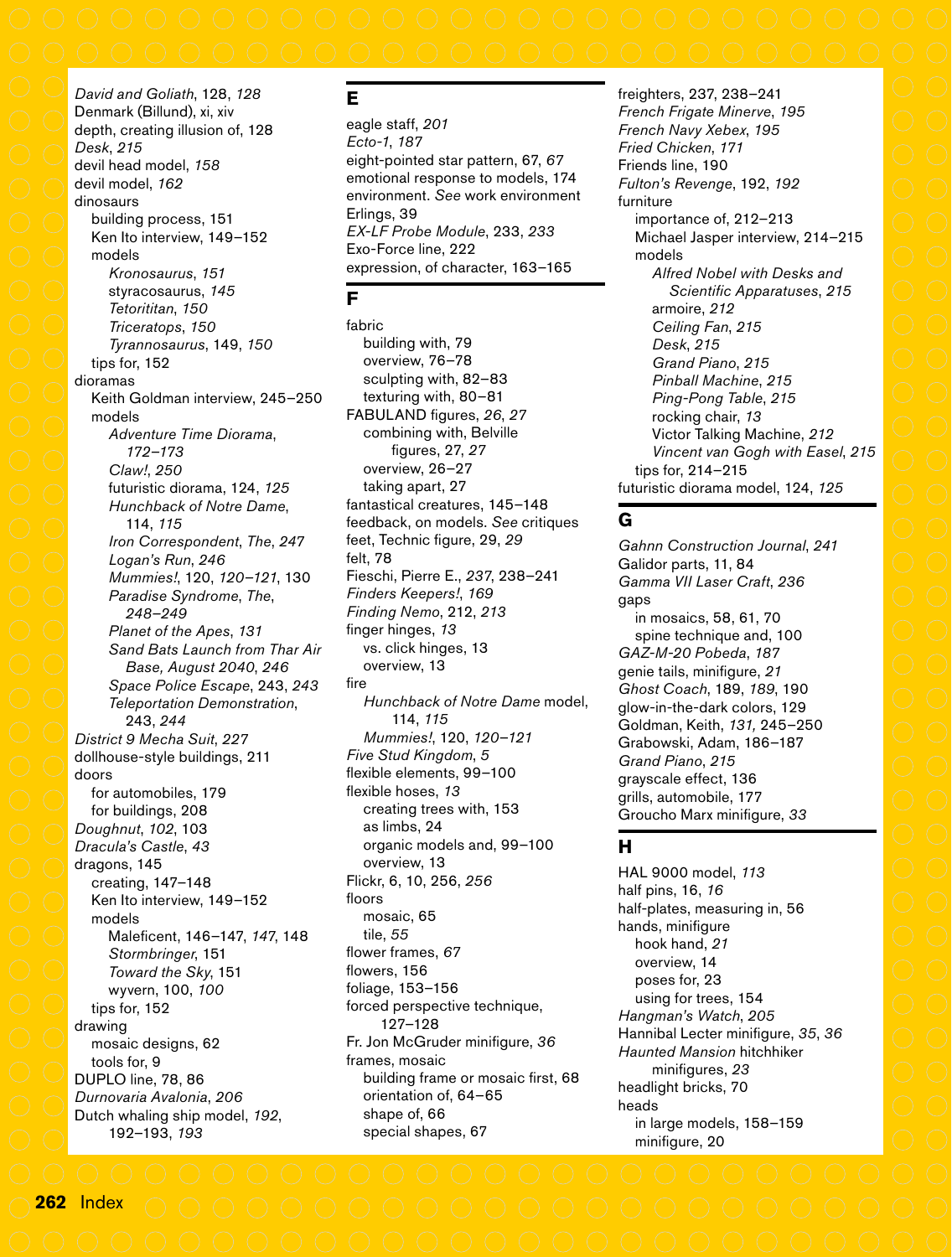### *David and Goliath*, 128, *128* Denmark (Billund), xi, xiv depth, creating illusion of, 128 *Desk*, *215* devil head model, *158* devil model, *162* dinosaurs building process, 151 Ken Ito interview, 149–152 models *Kronosaurus*, *151* styracosaurus, *145 Tetorititan*, *150 Triceratops*, *150 Tyrannosaurus*, 149, *150* tips for, 152 dioramas Keith Goldman interview, 245–250 models *Adventure Time Diorama*, *172–173 Claw!*, *250* futuristic diorama, 124, *125 Hunchback of Notre Dame*, 114, *115 Iron Correspondent*, *The*, *247 Logan's Run*, *246 Mummies!*, 120, *120–121*, 130 *Paradise Syndrome*, *The*, *248–249 Planet of the Apes*, *131 Sand Bats Launch from Thar Air Base, August 2040*, *246 Space Police Escape*, 243, *243 Teleportation Demonstration*, 243, *244 District 9 Mecha Suit*, *227* dollhouse-style buildings, 211 doors for automobiles, 179 for buildings, 208 *Doughnut*, *102*, 103 *Dracula's Castle*, *43* dragons, 145 creating, 147–148 Ken Ito interview, 149–152 models Maleficent, 146–147, *147*, 148 *Stormbringer*, 151 *Toward the Sky*, 151 wyvern, 100, *100* tips for, 152 drawing mosaic designs, 62 tools for, 9 DUPLO line, 78, 86

*Durnovaria Avalonia*, *206* Dutch whaling ship model, *192*, 192–193, *193*

# **E**

eagle staff, *201 Ecto-1*, *187* eight-pointed star pattern, 67, *67* emotional response to models, 174 environment. *See* work environment Erlings, 39 *EX-LF Probe Module*, 233, *233* Exo-Force line, 222 expression, of character, 163–165

# **F**

fabric building with, 79 overview, 76–78 sculpting with, 82–83 texturing with, 80–81 FABULAND figures, *26*, *27* combining with, Belville figures, 27, *27* overview, 26–27 taking apart, 27 fantastical creatures, 145–148 feedback, on models. *See* critiques feet, Technic figure, 29, *29* felt, 78 Fieschi, Pierre E., *237*, 238–241 *Finders Keepers!*, *169 Finding Nemo*, 212, *213* finger hinges, *13* vs. click hinges, 13 overview, 13 fire *Hunchback of Notre Dame* model, 114, *115 Mummies!*, 120, *120*–*121 Five Stud Kingdom*, *5* flexible elements, 99–100 flexible hoses, *13* creating trees with, 153 as limbs, 24 organic models and, 99–100 overview, 13 Flickr, 6, 10, 256, *256* floors mosaic, 65 tile, *55* flower frames, *67* flowers, 156 foliage, 153–156 forced perspective technique, 127–128 Fr. Jon McGruder minifigure, *36* frames, mosaic building frame or mosaic first, 68 orientation of, 64–65 shape of, 66 special shapes, 67

freighters, 237, 238–241 *French Frigate Minerve*, *195 French Navy Xebex*, *195 Fried Chicken*, *171* Friends line, 190 *Fulton's Revenge*, 192, *192* furniture importance of, 212–213 Michael Jasper interview, 214–215 models *Alfred Nobel with Desks and Scientific Apparatuses*, *215* armoire, *212 Ceiling Fan*, *215 Desk*, *215 Grand Piano*, *215 Pinball Machine*, *215 Ping-Pong Table*, *215* rocking chair, *13* Victor Talking Machine, *212 Vincent van Gogh with Easel*, *215* tips for, 214–215 futuristic diorama model, 124, *125*

### **G**

*Gahnn Construction Journal*, *241* Galidor parts, 11, 84 *Gamma VII Laser Craft*, *236* gaps in mosaics, 58, 61, 70 spine technique and, 100 *GAZ-M-20 Pobeda*, *187* genie tails, minifigure, *21 Ghost Coach*, 189, *189*, 190 glow-in-the-dark colors, 129 Goldman, Keith, *131,* 245–250 Grabowski, Adam, 186–187 *Grand Piano*, *215* grayscale effect, 136 grills, automobile, 177 Groucho Marx minifigure, *33*

# **H**

HAL 9000 model, *113* half pins, 16, *16* half-plates, measuring in, 56 hands, minifigure hook hand, *21* overview, 14 poses for, 23 using for trees, 154 *Hangman's Watch*, *205* Hannibal Lecter minifigure, *35*, *36 Haunted Mansion* hitchhiker minifigures, *23* headlight bricks, 70 heads in large models, 158–159 minifigure, 20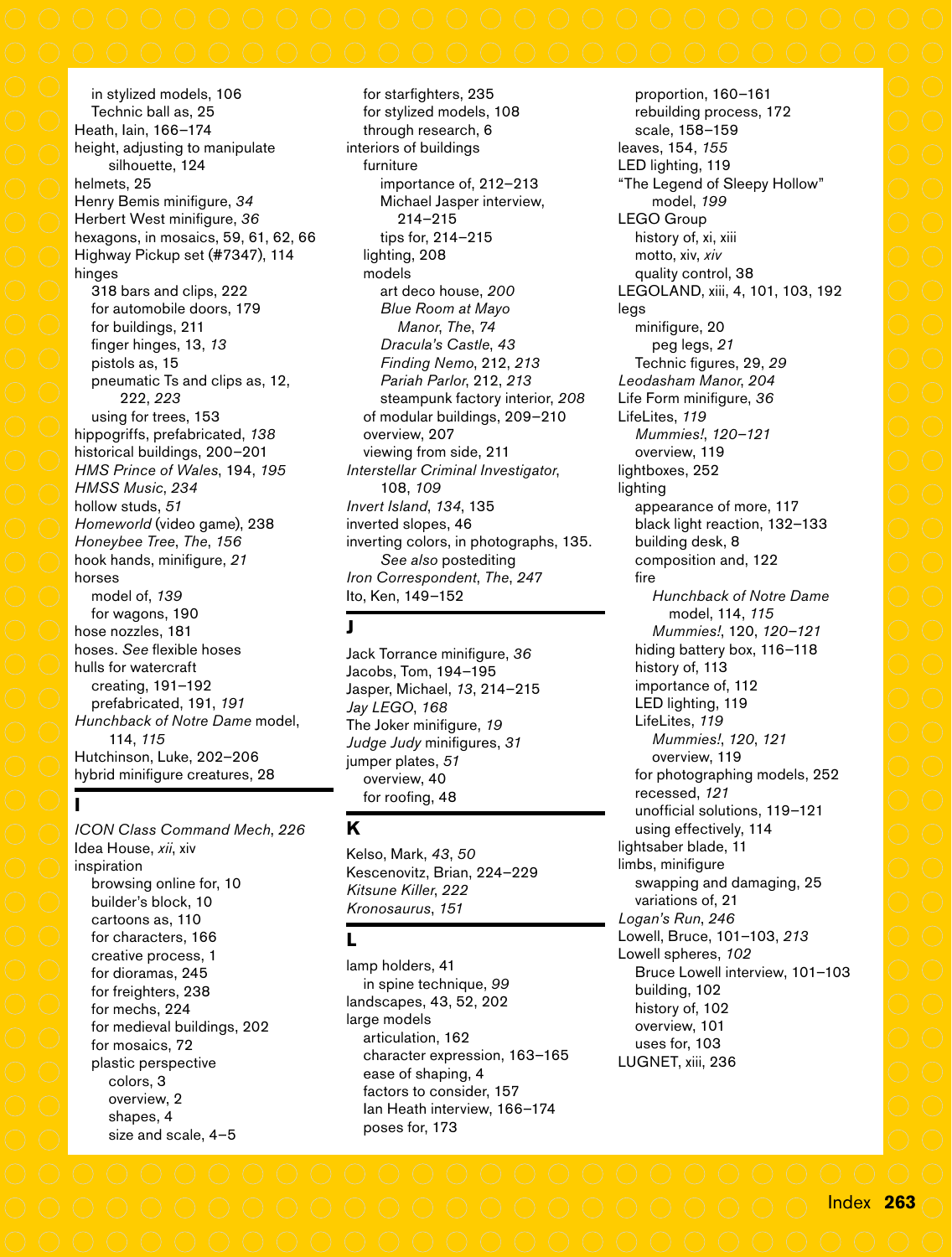in stylized models, 106 Technic ball as, 25 Heath, Iain, 166–174 height, adjusting to manipulate silhouette, 124 helmets, 25 Henry Bemis minifigure, *34* Herbert West minifigure, *36* hexagons, in mosaics, 59, 61, 62, 66 Highway Pickup set (#7347), 114 hinges 318 bars and clips, 222 for automobile doors, 179 for buildings, 211 finger hinges, 13, *13* pistols as, 15 pneumatic Ts and clips as, 12, 222, *223* using for trees, 153 hippogriffs, prefabricated, *138* historical buildings, 200–201 *HMS Prince of Wales*, 194, *195 HMSS Music*, *234* hollow studs, *51 Homeworld* (video game), 238 *Honeybee Tree*, *The*, *156* hook hands, minifigure, *21* horses model of, *139* for wagons, 190 hose nozzles, 181 hoses. *See* flexible hoses hulls for watercraft creating, 191–192 prefabricated, 191, *191 Hunchback of Notre Dame* model, 114, *115* Hutchinson, Luke, 202–206 hybrid minifigure creatures, 28

*ICON Class Command Mech*, *226* Idea House, *xii*, xiv inspiration browsing online for, 10 builder's block, 10 cartoons as, 110 for characters, 166 creative process, 1 for dioramas, 245 for freighters, 238 for mechs, 224 for medieval buildings, 202 for mosaics, 72 plastic perspective colors, 3 overview, 2 shapes, 4 size and scale, 4–5

**I**

for starfighters, 235 for stylized models, 108 through research, 6 interiors of buildings furniture importance of, 212–213 Michael Jasper interview, 214–215 tips for, 214–215 lighting, 208 models art deco house, *200 Blue Room at Mayo Manor*, *The*, *74 Dracula's Castle*, *43 Finding Nemo*, 212, *213 Pariah Parlor*, 212, *213* steampunk factory interior, *208* of modular buildings, 209–210 overview, 207 viewing from side, 211 *Interstellar Criminal Investigator*, 108, *109 Invert Island*, *134*, 135 inverted slopes, 46 inverting colors, in photographs, 135. *See also* postediting *Iron Correspondent*, *The*, *247* Ito, Ken, 149–152

### **J**

Jack Torrance minifigure, *36* Jacobs, Tom, 194–195 Jasper, Michael, *13*, 214–215 *Jay LEGO*, *168* The Joker minifigure, *19 Judge Judy* minifigures, *31* jumper plates, *51* overview, 40 for roofing, 48

### **K**

Kelso, Mark, *43*, *50* Kescenovitz, Brian, 224–229 *Kitsune Killer*, *222 Kronosaurus*, *151*

### **L**

lamp holders, 41 in spine technique, *99* landscapes, 43, 52, 202 large models articulation, 162 character expression, 163–165 ease of shaping, 4 factors to consider, 157 Ian Heath interview, 166–174 poses for, 173

proportion, 160–161 rebuilding process, 172 scale, 158–159 leaves, 154, *155* LED lighting, 119 "The Legend of Sleepy Hollow" model, *199* LEGO Group history of, xi, xiii motto, xiv, *xiv* quality control, 38 LEGOLAND, xiii, 4, 101, 103, 192 legs minifigure, 20 peg legs, *21* Technic figures, 29, *29 Leodasham Manor*, *204* Life Form minifigure, *36* LifeLites, *119 Mummies!*, *120*–*121* overview, 119 lightboxes, 252 lighting appearance of more, 117 black light reaction, 132–133 building desk, 8 composition and, 122 fire *Hunchback of Notre Dame* model, 114, *115 Mummies!*, 120, *120*–*121* hiding battery box, 116–118 history of, 113 importance of, 112 LED lighting, 119 LifeLites, *119 Mummies!*, *120*, *121* overview, 119 for photographing models, 252 recessed, *121* unofficial solutions, 119–121 using effectively, 114 lightsaber blade, 11 limbs, minifigure swapping and damaging, 25 variations of, 21 *Logan's Run*, *246* Lowell, Bruce, 101–103, *213* Lowell spheres, *102* Bruce Lowell interview, 101–103 building, 102 history of, 102 overview, 101 uses for, 103 LUGNET, xiii, 236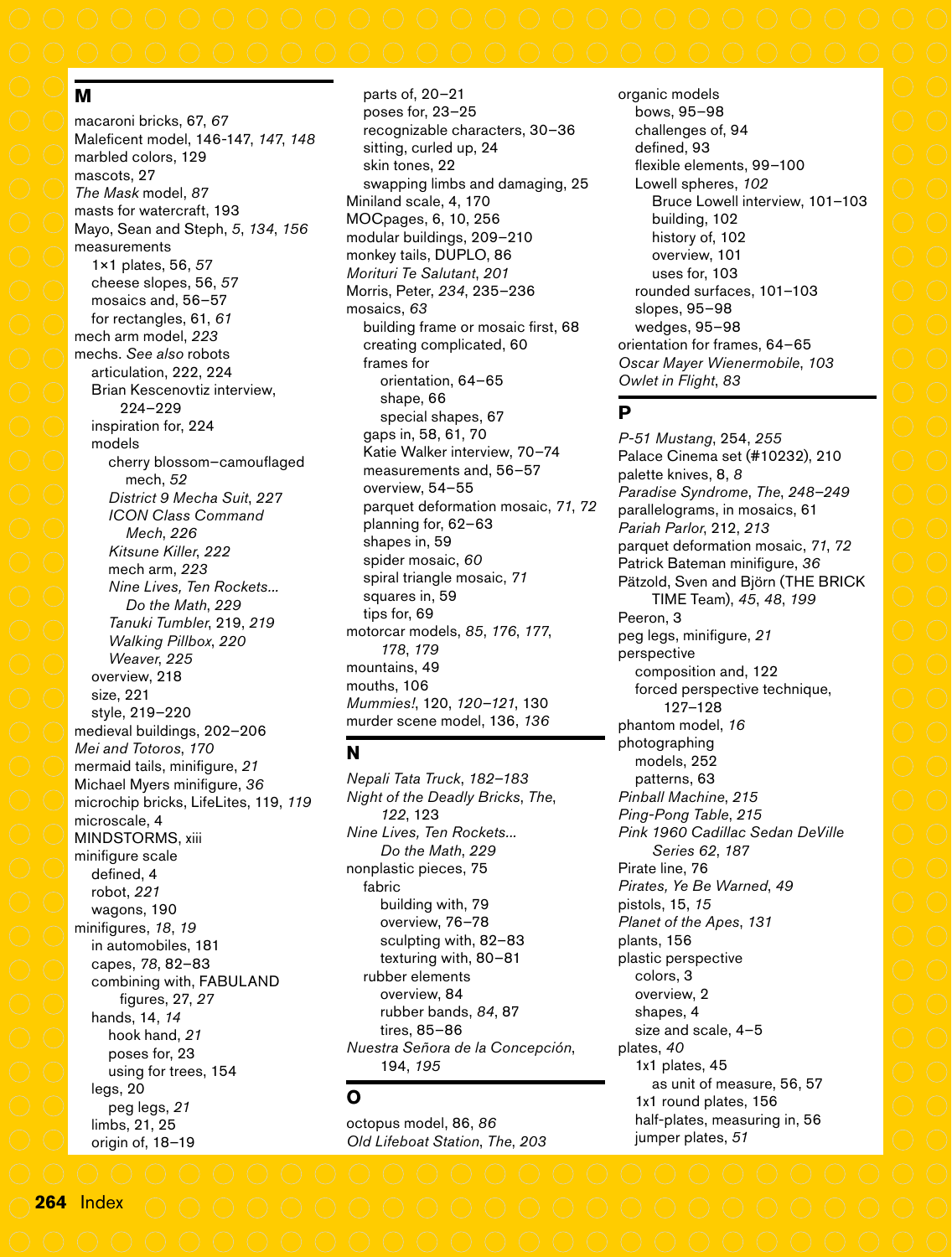### **M**

macaroni bricks, 67, *67* Maleficent model, 146-147, *147*, *148* marbled colors, 129 mascots, 27 *The Mask* model, *87* masts for watercraft, 193 Mayo, Sean and Steph, *5*, *134*, *156* measurements 1×1 plates, 56, *57* cheese slopes, 56, *57* mosaics and, 56–57 for rectangles, 61, *61* mech arm model, *223* mechs. *See also* robots articulation, 222, 224 Brian Kescenovtiz interview, 224–229 inspiration for, 224 models cherry blossom–camouflaged mech, *52 District 9 Mecha Suit*, *227 ICON Class Command Mech*, *226 Kitsune Killer*, *222* mech arm, *223 Nine Lives, Ten Rockets... Do the Math*, *229 Tanuki Tumbler*, 219, *219 Walking Pillbox*, *220 Weaver*, *225* overview, 218 size, 221 style, 219–220 medieval buildings, 202–206 *Mei and Totoros*, *170* mermaid tails, minifigure, *21* Michael Myers minifigure, *36* microchip bricks, LifeLites, 119, *119* microscale, 4 MINDSTORMS, xiii minifigure scale defined, 4 robot, *221* wagons, 190 minifigures, *18*, *19* in automobiles, 181 capes, *78*, 82–83 combining with, FABULAND figures, 27, *27* hands, 14, *14* hook hand, *21* poses for, 23 using for trees, 154 legs, 20 peg legs, *21* limbs, 21, 25 origin of, 18–19

parts of, 20–21 poses for, 23–25 recognizable characters, 30–36 sitting, curled up, 24 skin tones, 22 swapping limbs and damaging, 25 Miniland scale, 4, 170 MOCpages, 6, 10, 256 modular buildings, 209–210 monkey tails, DUPLO, 86 *Morituri Te Salutant*, *201* Morris, Peter, *234*, 235–236 mosaics, *63* building frame or mosaic first, 68 creating complicated, 60 frames for orientation, 64–65 shape, 66 special shapes, 67 gaps in, 58, 61, 70 Katie Walker interview, 70–74 measurements and, 56–57 overview, 54–55 parquet deformation mosaic, *71*, *72* planning for, 62–63 shapes in, 59 spider mosaic, *60* spiral triangle mosaic, *71* squares in, 59 tips for, 69 motorcar models, *85*, *176*, *177*, *178*, *179* mountains, 49 mouths, 106 *Mummies!*, 120, *120–121*, 130 murder scene model, 136, *136*

### **N**

*Nepali Tata Truck*, *182–183 Night of the Deadly Bricks*, *The*, *122*, 123 *Nine Lives, Ten Rockets... Do the Math*, *229* nonplastic pieces, 75 fabric building with, 79 overview, 76–78 sculpting with, 82–83 texturing with, 80–81 rubber elements overview, 84 rubber bands, *84*, 87 tires, 85–86 *Nuestra Señora de la Concepción*, 194, *195*

# **O**

octopus model, 86, *86 Old Lifeboat Station*, *The*, *203* organic models bows, 95–98 challenges of, 94 defined, 93 flexible elements, 99–100 Lowell spheres, *102* Bruce Lowell interview, 101–103 building, 102 history of, 102 overview, 101 uses for, 103 rounded surfaces, 101–103 slopes, 95–98 wedges, 95–98 orientation for frames, 64–65 *Oscar Mayer Wienermobile*, *103 Owlet in Flight*, *83*

## **P**

*P-51 Mustang*, 254, *255* Palace Cinema set (#10232), 210 palette knives, 8, *8 Paradise Syndrome*, *The*, *248–249* parallelograms, in mosaics, 61 *Pariah Parlor*, 212, *213* parquet deformation mosaic, *71*, *72* Patrick Bateman minifigure, *36* Pätzold, Sven and Björn (THE BRICK TIME Team), *45*, *48*, *199* Peeron, 3 peg legs, minifigure, *21* perspective composition and, 122 forced perspective technique, 127–128 phantom model, *16* photographing models, 252 patterns, 63 *Pinball Machine*, *215 Ping-Pong Table*, *215 Pink 1960 Cadillac Sedan DeVille Series 62*, *187* Pirate line, 76 *Pirates, Ye Be Warned*, *49* pistols, 15, *15 Planet of the Apes*, *131* plants, 156 plastic perspective colors, 3 overview, 2 shapes, 4 size and scale, 4–5 plates, *40* 1x1 plates, 45 as unit of measure, 56, 57 1x1 round plates, 156 half-plates, measuring in, 56 jumper plates, *51*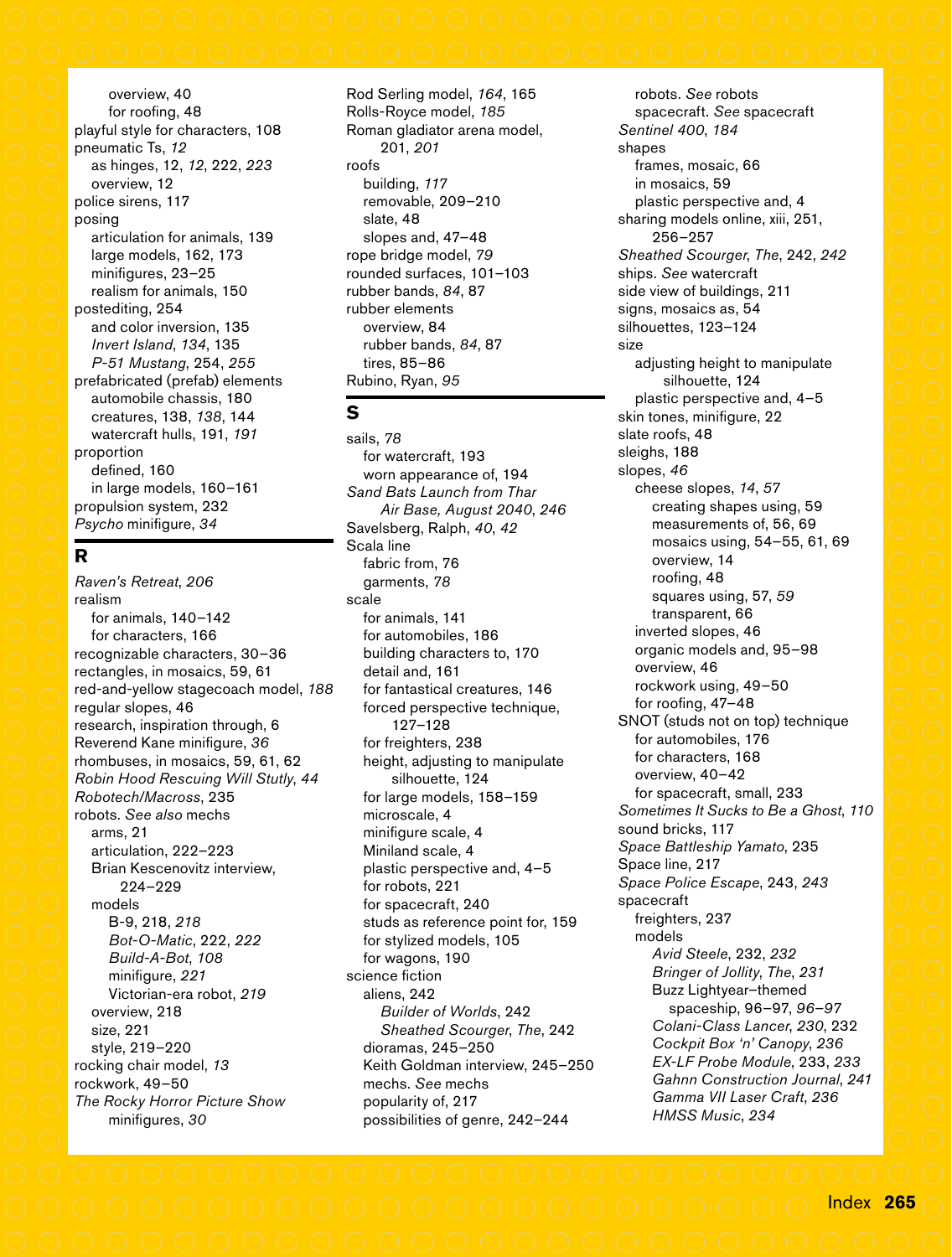overview, 40 for roofing, 48 playful style for characters, 108 pneumatic Ts, *12* as hinges, 12, *12*, 222, *223* overview, 12 police sirens, 117 posing articulation for animals, 139 large models, 162, 173 minifigures, 23–25 realism for animals, 150 postediting, 254 and color inversion, 135 *Invert Island*, *134*, 135 *P-51 Mustang*, 254, *255* prefabricated (prefab) elements automobile chassis, 180 creatures, 138, *138*, 144 watercraft hulls, 191, *191* proportion defined, 160 in large models, 160–161 propulsion system, 232 *Psycho* minifigure, *34*

# **R**

*Raven's Retreat*, *206* realism for animals, 140–142 for characters, 166 recognizable characters, 30–36 rectangles, in mosaics, 59, 61 red-and-yellow stagecoach model, *188* regular slopes, 46 research, inspiration through, 6 Reverend Kane minifigure, *36* rhombuses, in mosaics, 59, 61, 62 *Robin Hood Rescuing Will Stutly*, *44 Robotech/Macross*, 235 robots. *See also* mechs arms, 21 articulation, 222–223 Brian Kescenovitz interview, 224–229 models B-9, 218, *218 Bot-O-Matic*, 222, *222 Build-A-Bot*, *108* minifigure, *221* Victorian-era robot, *219* overview, 218 size, 221 style, 219–220 rocking chair model, *13* rockwork, 49–50 *The Rocky Horror Picture Show* minifigures, *30*

Rod Serling model, *164*, 165 Rolls-Royce model, *185* Roman gladiator arena model, 201, *201* roofs building, *117* removable, 209–210 slate, 48 slopes and, 47–48 rope bridge model, *79* rounded surfaces, 101–103 rubber bands, *84*, 87 rubber elements overview, 84 rubber bands, *84*, 87 tires, 85–86 Rubino, Ryan, *95*

### **S**

sails, *78* for watercraft, 193 worn appearance of, 194 *Sand Bats Launch from Thar Air Base, August 2040*, *246* Savelsberg, Ralph, *40*, *42* Scala line fabric from, 76 garments, *78* scale for animals, 141 for automobiles, 186 building characters to, 170 detail and, 161 for fantastical creatures, 146 forced perspective technique, 127–128 for freighters, 238 height, adjusting to manipulate silhouette, 124 for large models, 158–159 microscale, 4 minifigure scale, 4 Miniland scale, 4 plastic perspective and, 4–5 for robots, 221 for spacecraft, 240 studs as reference point for, 159 for stylized models, 105 for wagons, 190 science fiction aliens, 242 *Builder of Worlds*, 242 *Sheathed Scourger*, *The*, 242 dioramas, 245–250 Keith Goldman interview, 245–250 mechs. *See* mechs popularity of, 217 possibilities of genre, 242–244

robots. *See* robots spacecraft. *See* spacecraft *Sentinel 400*, *184* shapes frames, mosaic, 66 in mosaics, 59 plastic perspective and, 4 sharing models online, xiii, 251, 256–257 *Sheathed Scourger*, *The*, 242, *242* ships. *See* watercraft side view of buildings, 211 signs, mosaics as, 54 silhouettes, 123–124 size adjusting height to manipulate silhouette, 124 plastic perspective and, 4–5 skin tones, minifigure, 22 slate roofs, 48 sleighs, 188 slopes, *46* cheese slopes, *14*, *57* creating shapes using, 59 measurements of, 56, 69 mosaics using, 54–55, 61, 69 overview, 14 roofing, 48 squares using, 57, *59* transparent, 66 inverted slopes, 46 organic models and, 95–98 overview, 46 rockwork using, 49–50 for roofing, 47–48 SNOT (studs not on top) technique for automobiles, 176 for characters, 168 overview, 40–42 for spacecraft, small, 233 *Sometimes It Sucks to Be a Ghost*, *110* sound bricks, 117 *Space Battleship Yamato*, 235 Space line, 217 *Space Police Escape*, 243, *243* spacecraft freighters, 237 models *Avid Steele*, 232, *232 Bringer of Jollity*, *The*, *231* Buzz Lightyear–themed spaceship, 96–97, *96–97 Colani-Class Lancer*, *230*, 232 *Cockpit Box 'n' Canopy*, *236 EX-LF Probe Module*, 233, *233 Gahnn Construction Journal*, *241 Gamma VII Laser Craft*, *236 HMSS Music*, *234*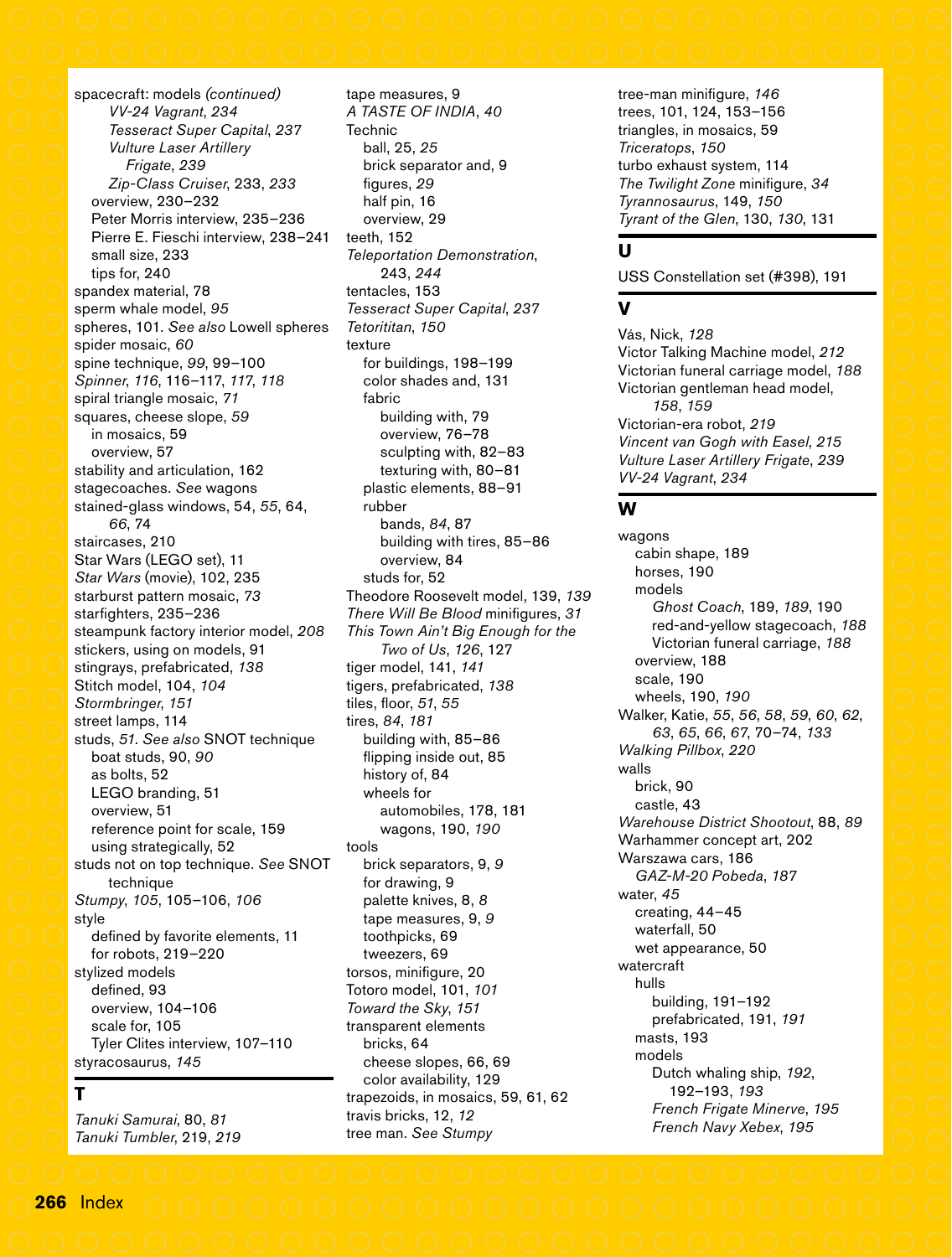tape measures, 9 *A TASTE OF INDIA*, *40*

figures, *29* half pin, 16 overview, 29 teeth, 152

*Tetorititan*, *150* texture

fabric

rubber

brick separator and, 9

*Teleportation Demonstration*, 243, *244* tentacles, 153

*Tesseract Super Capital*, *237*

for buildings, 198–199 color shades and, 131

building with, 79 overview, 76–78 sculpting with, 82–83 texturing with, 80–81 plastic elements, 88–91

bands, *84*, 87

overview, 84 studs for, 52

building with tires, 85–86

Theodore Roosevelt model, 139, *139 There Will Be Blood* minifigures, *31 This Town Ain't Big Enough for the* 

**Technic** ball, 25, *25*

**T** *Tanuki Samurai*, 80, *81 Tanuki Tumbler*, 219, *219*

spacecraft: models *(continued) VV-24 Vagrant*, *234 Tesseract Super Capital*, *237 Vulture Laser Artillery Frigate*, *239 Zip-Class Cruiser*, 233, *233* overview, 230–232 Peter Morris interview, 235–236 Pierre E. Fieschi interview, 238–241 small size, 233 tips for, 240 spandex material, 78 sperm whale model, *95* spheres, 101. *See also* Lowell spheres spider mosaic, *60* spine technique, *99*, 99–100 *Spinner*, *116*, 116–117, *117*, *118* spiral triangle mosaic, *71* squares, cheese slope, *59* in mosaics, 59 overview, 57 stability and articulation, 162 stagecoaches. *See* wagons stained-glass windows, 54, *55*, 64, *66*, 74 staircases, 210 Star Wars (LEGO set), 11 *Star Wars* (movie), 102, 235 starburst pattern mosaic, *73* starfighters, 235–236 steampunk factory interior model, *208* stickers, using on models, 91 stingrays, prefabricated, *138* Stitch model, 104, *104 Stormbringer*, *151* street lamps, 114 studs, *51*. *See also* SNOT technique boat studs, 90, *90* as bolts, 52 LEGO branding, 51 overview, 51 reference point for scale, 159 using strategically, 52 studs not on top technique. *See* SNOT technique *Stumpy*, *105*, 105–106, *106* style defined by favorite elements, 11 for robots, 219–220 stylized models defined, 93 overview, 104–106 scale for, 105 Tyler Clites interview, 107–110 styracosaurus, *145*

*Two of Us*, *126*, 127 tiger model, 141, *141* tigers, prefabricated, *138* tiles, floor, *51*, *55* tires, *84*, *181* building with, 85–86 flipping inside out, 85 history of, 84 wheels for automobiles, 178, 181 wagons, 190, *190* tools brick separators, 9, *9* for drawing, 9 palette knives, 8, *8* tape measures, 9, *9* toothpicks, 69 tweezers, 69 torsos, minifigure, 20 Totoro model, 101, *101 Toward the Sky*, *151* transparent elements bricks, 64 cheese slopes, 66, 69 color availability, 129 trapezoids, in mosaics, 59, 61, 62 travis bricks, 12, *12*

tree man. *See Stumpy*

tree-man minifigure, *146* trees, 101, 124, 153–156 triangles, in mosaics, 59 *Triceratops*, *150* turbo exhaust system, 114 *The Twilight Zone* minifigure, *34 Tyrannosaurus*, 149, *150 Tyrant of the Glen*, 130, *130*, 131

### **U**

USS Constellation set (#398), 191

### **V**

Vás, Nick, *128* Victor Talking Machine model, *212* Victorian funeral carriage model, *188* Victorian gentleman head model, *158*, *159* Victorian-era robot, *219 Vincent van Gogh with Easel*, *215 Vulture Laser Artillery Frigate*, *239 VV-24 Vagrant*, *234*

### **W**

wagons cabin shape, 189 horses, 190 models *Ghost Coach*, 189, *189*, 190 red-and-yellow stagecoach, *188* Victorian funeral carriage, *188* overview, 188 scale, 190 wheels, 190, *190* Walker, Katie, *55*, *56*, *58*, *59*, *60*, *62*, *63*, *65*, *66*, *67*, 70–74, *133 Walking Pillbox*, *220* walls brick, 90 castle, 43 *Warehouse District Shootout*, 88, *89* Warhammer concept art, 202 Warszawa cars, 186 *GAZ-M-20 Pobeda*, *187* water, *45* creating, 44–45 waterfall, 50 wet appearance, 50 watercraft hulls building, 191–192 prefabricated, 191, *191* masts, 193 models Dutch whaling ship, *192*, 192–193, *193 French Frigate Minerve*, *195 French Navy Xebex*, *195*